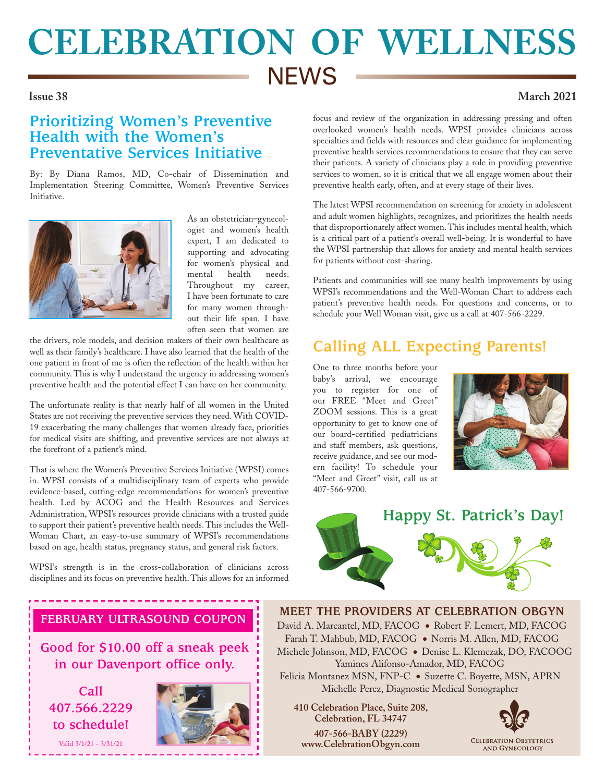# **CELEBRATION OF WELLNESS NEWS**

#### **Issue 38 March 2021**

### **Prioritizing Women's Preventive Health with the Women's Preventative Services Initiative**

By: By Diana Ramos, MD, Co-chair of Dissemination and Implementation Steering Committee, Women's Preventive Services Initiative.



As an obstetrician–gynecologist and women's health expert, I am dedicated to supporting and advocating for women's physical and mental health needs. Throughout my career, I have been fortunate to care for many women throughout their life span. I have often seen that women are

the drivers, role models, and decision makers of their own healthcare as well as their family's healthcare. I have also learned that the health of the one patient in front of me is often the reflection of the health within her community. This is why I understand the urgency in addressing women's preventive health and the potential effect I can have on her community.

The unfortunate reality is that nearly half of all women in the United States are not receiving the preventive services they need. With COVID-19 exacerbating the many challenges that women already face, priorities for medical visits are shifting, and preventive services are not always at the forefront of a patient's mind.

That is where the Women's Preventive Services Initiative (WPSI) comes in. WPSI consists of a multidisciplinary team of experts who provide evidence-based, cutting-edge recommendations for women's preventive health. Led by ACOG and the Health Resources and Services Administration, WPSI's resources provide clinicians with a trusted guide to support their patient's preventive health needs. This includes the Well-Woman Chart, an easy-to-use summary of WPSI's recommendations based on age, health status, pregnancy status, and general risk factors.

WPSI's strength is in the cross-collaboration of clinicians across disciplines and its focus on preventive health. This allows for an informed focus and review of the organization in addressing pressing and often overlooked women's health needs. WPSI provides clinicians across specialties and fields with resources and clear guidance for implementing preventive health services recommendations to ensure that they can serve their patients. A variety of clinicians play a role in providing preventive services to women, so it is critical that we all engage women about their preventive health early, often, and at every stage of their lives.

The latest WPSI recommendation on screening for anxiety in adolescent and adult women highlights, recognizes, and prioritizes the health needs that disproportionately affect women. This includes mental health, which is a critical part of a patient's overall well-being. It is wonderful to have the WPSI partnership that allows for anxiety and mental health services for patients without cost-sharing.

Patients and communities will see many health improvements by using WPSI's recommendations and the Well-Woman Chart to address each patient's preventive health needs. For questions and concerns, or to schedule your Well Woman visit, give us a call at 407-566-2229.

## **Calling ALL Expecting Parents!**

One to three months before your baby's arrival, we encourage you to register for one of our FREE "Meet and Greet" ZOOM sessions. This is a great opportunity to get to know one of our board-certified pediatricians and staff members, ask questions, receive guidance, and see our modern facility! To schedule your "Meet and Greet" visit, call us at 407-566-9700.





#### **FEBRUARY ULTRASOUND COUPON**

**Good for \$10.00 off a sneak peek in our Davenport office only.** 

**Call 407.566.2229 to schedule!**

Valid 3/1/21 - 3/31/21



**MEET THE PROVIDERS AT CELEBRATION OBGYN** David A. Marcantel, MD, FACOG ● Robert F. Lemert, MD, FACOG Farah T. Mahbub, MD, FACOG ● Norris M. Allen, MD, FACOG Michele Johnson, MD, FACOG ● Denise L. Klemczak, DO, FACOOG Yamines Alifonso-Amador, MD, FACOG Felicia Montanez MSN, FNP-C ● Suzette C. Boyette, MSN, APRN Michelle Perez, Diagnostic Medical Sonographer

 **410 Celebration Place, Suite 208, Celebration, FL 34747 407-566-BABY (2229) www.CelebrationObgyn.com**